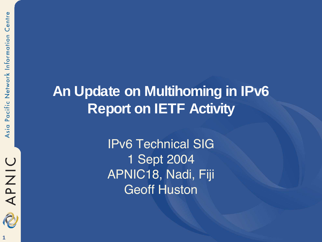

#### **An Update on Multihoming in IPv6 Report on IETF Activity**

IPv6 Technical SIG 1 Sept 2004 APNIC18, Nadi, Fiji Geoff Huston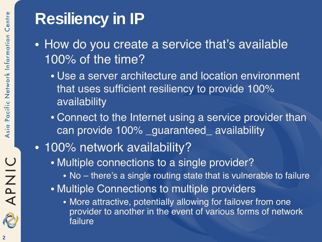#### **Resiliency in IP**

- How do you create a service that's available 100% of the time?
	- Use a server architecture and location environment that uses sufficient resiliency to provide 100% availability
	- Connect to the Internet using a service provider than can provide 100% \_guaranteed\_ availability
- 100% network availability?
	- Multiple connections to a single provider?
		- No there's a single routing state that is vulnerable to failure
	- Multiple Connections to multiple providers
		- More attractive, potentially allowing for failover from one provider to another in the event of various forms of network failure

APNIC

2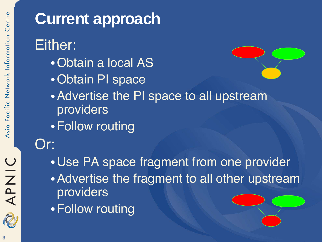

#### **Current approach** Either: •Obtain a local AS •Obtain PI space •Advertise the PI space to all upstream providers •Follow routing Or: •Use PA space fragment from one provider •Advertise the fragment to all other upstream providers •Follow routing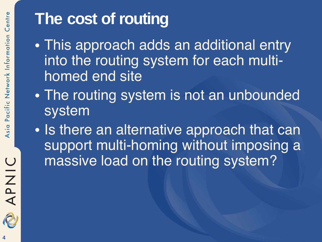#### **The cost of routing**

- This approach adds an additional entry into the routing system for each multihomed end site
- The routing system is not an unbounded system
- Is there an alternative approach that can support multi-homing without imposing a massive load on the routing system?

APNIC

2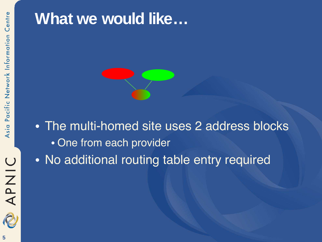#### **What we would like…**



• No additional routing table entry required

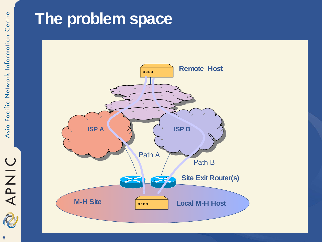## O NIC **6**

#### **The problem space**

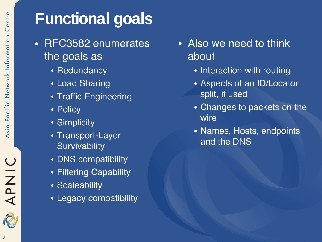#### **Functional goals**

- RFC3582 enumerates the goals as
	- Redundancy
	- Load Sharing
	- Traffic Engineering
	- Policy
	- Simplicity
	- Transport-Layer **Survivability**
	- DNS compatibility
	- Filtering Capability
	- Scaleability
	- Legacy compatibility
- Also we need to think about
	- Interaction with routing
	- Aspects of an ID/Locator split, if used
	- Changes to packets on the wire
	- Names, Hosts, endpoints and the DNS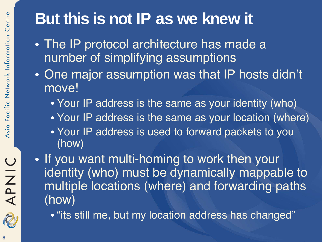#### **But this is not IP as we knew it**

- The IP protocol architecture has made a number of simplifying assumptions
- One major assumption was that IP hosts didn't move!
	- Your IP address is the same as your identity (who)
	- Your IP address is the same as your location (where)
	- Your IP address is used to forward packets to you (how)
- If you want multi-homing to work then your identity (who) must be dynamically mappable to multiple locations (where) and forwarding paths (how)
	- "its still me, but my location address has changed"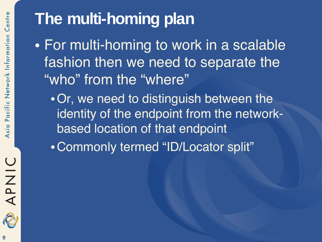#### **The multi-homing plan**

- For multi-homing to work in a scalable fashion then we need to separate the "who" from the "where"
	- **Or, we need to distinguish between the** identity of the endpoint from the networkbased location of that endpoint
	- •Commonly termed "ID/Locator split"

APNIC

R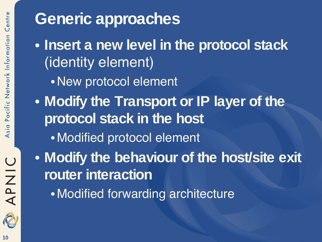# APNIC

#### **Generic approaches**

- **Insert a new level in the protocol stack** (identity element)
	- •New protocol element
- **Modify the Transport or IP layer of the protocol stack in the host**
	- Modified protocol element
- **Modify the behaviour of the host/site exit router interaction**
	- Modified forwarding architecture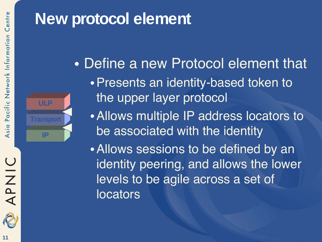#### **New protocol element**



- Define a new Protocol element that •Presents an identity-based token to the upper layer protocol
	- •Allows multiple IP address locators to be associated with the identity
	- •Allows sessions to be defined by an identity peering, and allows the lower levels to be agile across a set of locators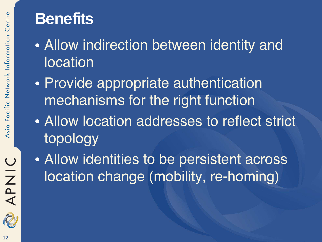#### **Benefits**

- Allow indirection between identity and location
- Provide appropriate authentication mechanisms for the right function
- Allow location addresses to reflect strict topology
- Allow identities to be persistent across location change (mobility, re-homing)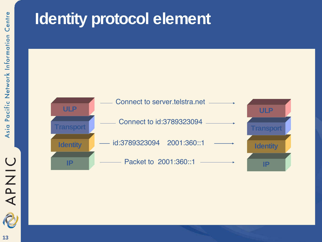#### **Identity protocol element**



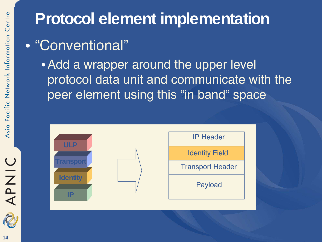#### **Protocol element implementation**

- "Conventional"
	- Add a wrapper around the upper level protocol data unit and communicate with the peer element using this "in band" space



OINAC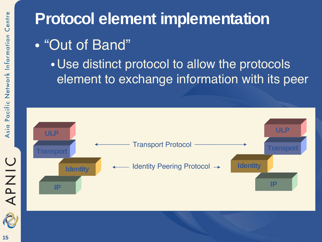#### **Protocol element implementation**

- "Out of Band"
	- •Use distinct protocol to allow the protocols element to exchange information with its peer



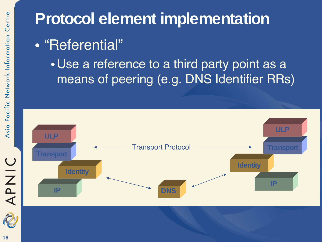#### **Protocol element implementation**

#### • "Referential"

•Use a reference to a third party point as a means of peering (e.g. DNS Identifier RRs)



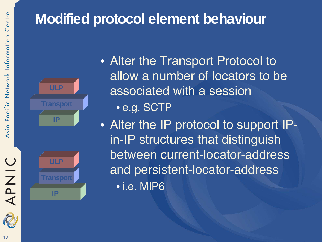#### **Modified protocol element behaviour**





- Alter the Transport Protocol to allow a number of locators to be associated with a session
	- e.g. SCTP
- Alter the IP protocol to support IPin-IP structures that distinguish between current-locator-address and persistent-locator-address • i.e. MIP6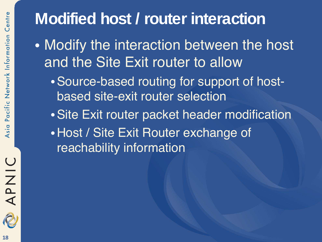#### **Modified host / router interaction**

- Modify the interaction between the host and the Site Exit router to allow
	- •Source-based routing for support of hostbased site-exit router selection
	- •Site Exit router packet header modification •Host / Site Exit Router exchange of reachability information

APNIC

2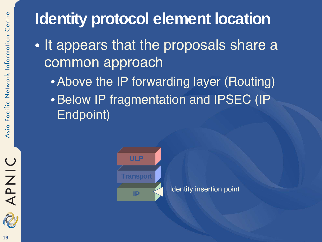#### **Identity protocol element location**

- It appears that the proposals share a common approach
	- Above the IP forwarding layer (Routing)
	- •Below IP fragmentation and IPSEC (IP Endpoint)



APNIC

2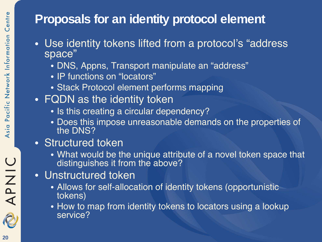#### **Proposals for an identity protocol element**

- Use identity tokens lifted from a protocol's "address space"
	- DNS, Appns, Transport manipulate an "address"
	- IP functions on "locators"
	- Stack Protocol element performs mapping
- FQDN as the identity token
	- Is this creating a circular dependency?
	- Does this impose unreasonable demands on the properties of the DNS?
- Structured token
	- What would be the unique attribute of a novel token space that distinguishes it from the above?
- Unstructured token
	- Allows for self-allocation of identity tokens (opportunistic tokens)
	- How to map from identity tokens to locators using a lookup service?

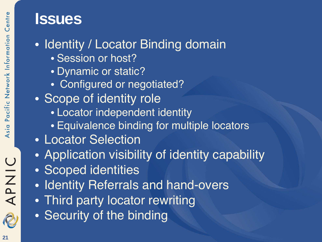## Centre Pacific Network Information Asia

## APNIC R

#### **Issues**

#### • Identity / Locator Binding domain

- Session or host?
- Dynamic or static?
- Configured or negotiated?
- Scope of identity role
	- Locator independent identity
	- Equivalence binding for multiple locators
- Locator Selection
- Application visibility of identity capability
- Scoped identities
- Identity Referrals and hand-overs
- Third party locator rewriting
- Security of the binding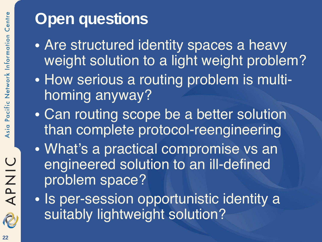### **APNIC** R

#### **Open questions**

- Are structured identity spaces a heavy weight solution to a light weight problem?
- How serious a routing problem is multihoming anyway?
- Can routing scope be a better solution than complete protocol-reengineering
- What's a practical compromise vs an engineered solution to an ill-defined problem space?
- Is per-session opportunistic identity a suitably lightweight solution?